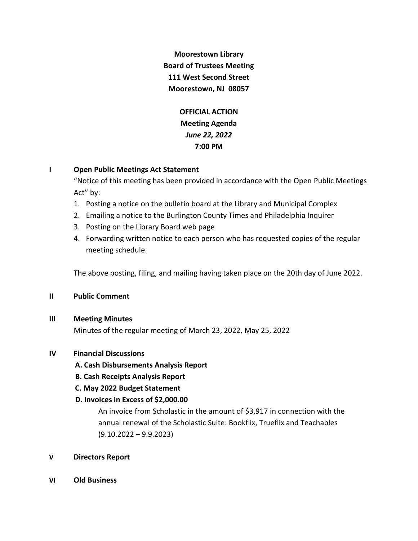**Moorestown Library Board of Trustees Meeting 111 West Second Street Moorestown, NJ 08057**

> **OFFICIAL ACTION Meeting Agenda** *June 22, 2022* **7:00 PM**

# **I Open Public Meetings Act Statement**

"Notice of this meeting has been provided in accordance with the Open Public Meetings Act" by:

- 1. Posting a notice on the bulletin board at the Library and Municipal Complex
- 2. Emailing a notice to the Burlington County Times and Philadelphia Inquirer
- 3. Posting on the Library Board web page
- 4. Forwarding written notice to each person who has requested copies of the regular meeting schedule.

The above posting, filing, and mailing having taken place on the 20th day of June 2022.

### **II Public Comment**

### **III Meeting Minutes**

Minutes of the regular meeting of March 23, 2022, May 25, 2022

# **IV Financial Discussions**

- **A. Cash Disbursements Analysis Report**
- **B. Cash Receipts Analysis Report**
- **C. May 2022 Budget Statement**

# **D. Invoices in Excess of \$2,000.00**

An invoice from Scholastic in the amount of \$3,917 in connection with the annual renewal of the Scholastic Suite: Bookflix, Trueflix and Teachables (9.10.2022 – 9.9.2023)

# **V Directors Report**

**VI Old Business**